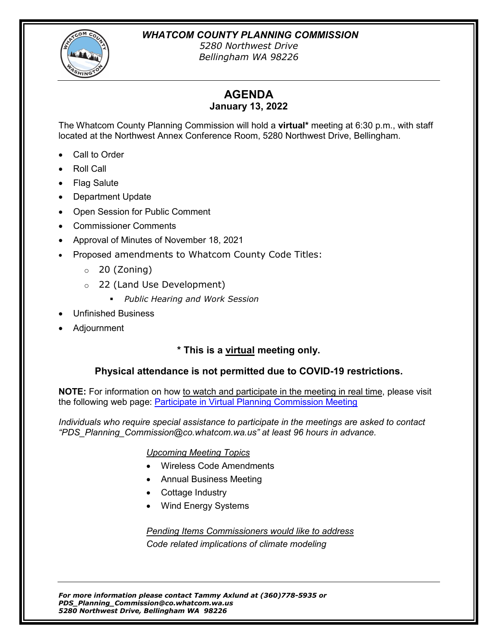*WHATCOM COUNTY PLANNING COMMISSION*



*5280 Northwest Drive Bellingham WA 98226*

# **AGENDA**

# **January 13, 2022**

The Whatcom County Planning Commission will hold a **virtual\*** meeting at 6:30 p.m., with staff located at the Northwest Annex Conference Room, 5280 Northwest Drive, Bellingham.

- Call to Order
- Roll Call
- Flag Salute
- Department Update
- Open Session for Public Comment
- Commissioner Comments
- Approval of Minutes of November 18, 2021
- Proposed amendments to Whatcom County Code Titles:
	- $\circ$  20 (Zoning)
	- o 22 (Land Use Development)
		- *Public Hearing and Work Session*
- Unfinished Business
- Adjournment

# **\* This is a virtual meeting only.**

# **Physical attendance is not permitted due to COVID-19 restrictions.**

**NOTE:** For information on how to watch and participate in the meeting in real time, please visit the following web page: [Participate in Virtual Planning Commission Meeting](https://www.whatcomcounty.us/3436/Participate-in-Virtual-Planning-Commissi)

*Individuals who require special assistance to participate in the meetings are asked to contact "PDS\_Planning\_Commission@co.whatcom.wa.us" at least 96 hours in advance.*

# *Upcoming Meeting Topics*

- Wireless Code Amendments
- Annual Business Meeting
- Cottage Industry
- Wind Energy Systems

# *Pending Items Commissioners would like to address Code related implications of climate modeling*

*For more information please contact Tammy Axlund at (360)778-5935 or PDS\_Planning\_Commission@co.whatcom.wa.us 5280 Northwest Drive, Bellingham WA 98226*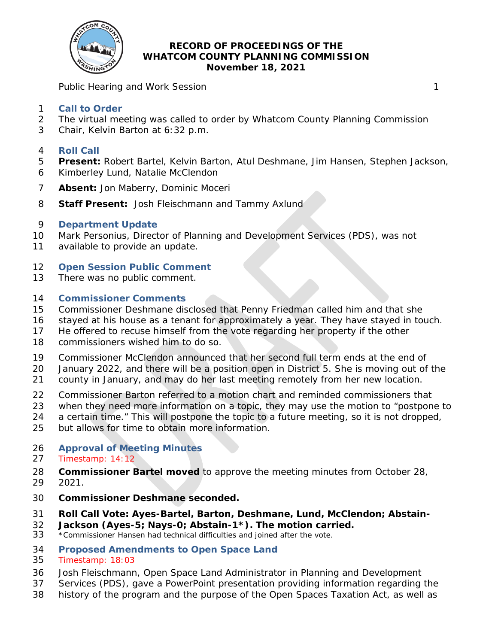

#### **RECORD OF PROCEEDINGS OF THE WHATCOM COUNTY PLANNING COMMISSION November 18, 2021**

Public Hearing and Work Session 1 and 2008 1 and 2008 1 and 2008 1 and 2008 1 and 2008 1 and 2008 1 and 2008 1  $\sim$  1

- **Call to Order**
- The virtual meeting was called to order by Whatcom County Planning Commission
- Chair, Kelvin Barton at 6:32 p.m.
- **Roll Call**
- **Present:** Robert Bartel, Kelvin Barton, Atul Deshmane, Jim Hansen, Stephen Jackson,
- Kimberley Lund, Natalie McClendon
- **Absent:** Jon Maberry, Dominic Moceri
- **Staff Present:** Josh Fleischmann and Tammy Axlund

# **Department Update**

- Mark Personius, Director of Planning and Development Services (PDS), was not
- available to provide an update.
- **Open Session Public Comment**
- There was no public comment.

# **Commissioner Comments**

- Commissioner Deshmane disclosed that Penny Friedman called him and that she
- stayed at his house as a tenant for approximately a year. They have stayed in touch.
- He offered to recuse himself from the vote regarding her property if the other
- commissioners wished him to do so.
- Commissioner McClendon announced that her second full term ends at the end of
- January 2022, and there will be a position open in District 5. She is moving out of the
- county in January, and may do her last meeting remotely from her new location.
- Commissioner Barton referred to a motion chart and reminded commissioners that
- when they need more information on a topic, they may use the motion to "postpone to
- a certain time." This will postpone the topic to a future meeting, so it is not dropped,
- but allows for time to obtain more information.
- **Approval of Meeting Minutes**

# Timestamp: 14:12

- *Commissioner Bartel moved to approve the meeting minutes from October 28, 2021.*
- 
- **Commissioner Deshmane seconded.**
- **Roll Call Vote: Ayes-Bartel, Barton, Deshmane, Lund, McClendon; Abstain-**
- **32 Jackson (Ayes-5; Nays-0; Abstain-1\*). The motion carried.**<br>33 \*Commissioner Hansen had technical difficulties and joined after the vote.
- \*Commissioner Hansen had technical difficulties and joined after the vote.
- **Proposed Amendments to Open Space Land**
- Timestamp: 18:03
- Josh Fleischmann, Open Space Land Administrator in Planning and Development
- Services (PDS), gave a PowerPoint presentation providing information regarding the
- history of the program and the purpose of the Open Spaces Taxation Act, as well as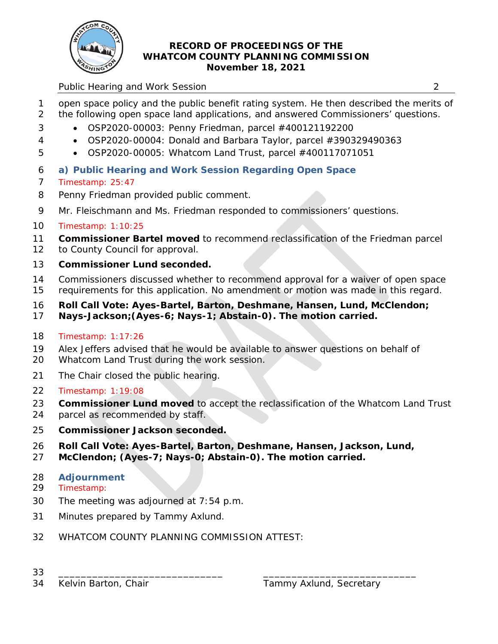

# **RECORD OF PROCEEDINGS OF THE WHATCOM COUNTY PLANNING COMMISSION November 18, 2021**

# Public Hearing and Work Session 2

- open space policy and the public benefit rating system. He then described the merits of the following open space land applications, and answered Commissioners' questions.
- OSP2020-00003: Penny Friedman, parcel #400121192200
- OSP2020-00004: Donald and Barbara Taylor, parcel #390329490363
- OSP2020-00005: Whatcom Land Trust, parcel #400117071051

# **a) Public Hearing and Work Session Regarding Open Space**

- Timestamp: 25:47
- Penny Friedman provided public comment.
- Mr. Fleischmann and Ms. Friedman responded to commissioners' questions.

# Timestamp: 1:10:25

- *Commissioner Bartel moved to recommend reclassification of the Friedman parcel*
- *to County Council for approval.*
- **Commissioner Lund seconded.**
- Commissioners discussed whether to recommend approval for a waiver of open space requirements for this application. No amendment or motion was made in this regard.
- **Roll Call Vote: Ayes-Bartel, Barton, Deshmane, Hansen, Lund, McClendon;**
- **Nays-Jackson;(Ayes-6; Nays-1; Abstain-0). The motion carried.**
- Timestamp: 1:17:26
- Alex Jeffers advised that he would be available to answer questions on behalf of
- Whatcom Land Trust during the work session.
- The Chair closed the public hearing.
- Timestamp: 1:19:08
- *Commissioner Lund moved to accept the reclassification of the Whatcom Land Trust*
- *parcel as recommended by staff.*
- **Commissioner Jackson seconded.**
- **Roll Call Vote: Ayes-Bartel, Barton, Deshmane, Hansen, Jackson, Lund,**
- **McClendon; (Ayes-7; Nays-0; Abstain-0). The motion carried.**

# **Adjournment**

Timestamp:

- The meeting was adjourned at 7:54 p.m.
- Minutes prepared by Tammy Axlund.
- WHATCOM COUNTY PLANNING COMMISSION ATTEST:
- \_\_\_\_\_\_\_\_\_\_\_\_\_\_\_\_\_\_\_\_\_\_\_\_\_\_\_\_\_ \_\_\_\_\_\_\_\_\_\_\_\_\_\_\_\_\_\_\_\_\_\_\_\_\_\_\_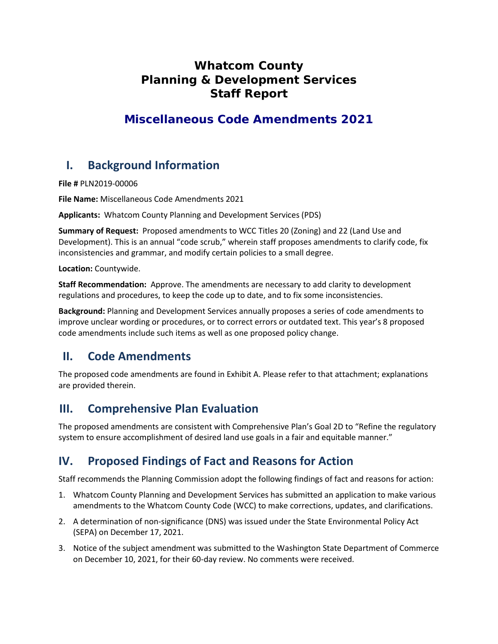# **Whatcom County Planning & Development Services Staff Report**

# **Miscellaneous Code Amendments 2021**

# **I. Background Information**

**File #** PLN2019-00006

**File Name:** Miscellaneous Code Amendments 2021

**Applicants:** Whatcom County Planning and Development Services (PDS)

**Summary of Request:** Proposed amendments to WCC Titles 20 (Zoning) and 22 (Land Use and Development). This is an annual "code scrub," wherein staff proposes amendments to clarify code, fix inconsistencies and grammar, and modify certain policies to a small degree.

**Location:** Countywide.

**Staff Recommendation:** Approve. The amendments are necessary to add clarity to development regulations and procedures, to keep the code up to date, and to fix some inconsistencies.

**Background:** Planning and Development Services annually proposes a series of code amendments to improve unclear wording or procedures, or to correct errors or outdated text. This year's 8 proposed code amendments include such items as well as one proposed policy change.

# **II. Code Amendments**

The proposed code amendments are found in Exhibit A. Please refer to that attachment; explanations are provided therein.

# **III. Comprehensive Plan Evaluation**

The proposed amendments are consistent with Comprehensive Plan's Goal 2D to "Refine the regulatory system to ensure accomplishment of desired land use goals in a fair and equitable manner."

# **IV. Proposed Findings of Fact and Reasons for Action**

Staff recommends the Planning Commission adopt the following findings of fact and reasons for action:

- 1. Whatcom County Planning and Development Services has submitted an application to make various amendments to the Whatcom County Code (WCC) to make corrections, updates, and clarifications.
- 2. A determination of non-significance (DNS) was issued under the State Environmental Policy Act (SEPA) on December 17, 2021.
- 3. Notice of the subject amendment was submitted to the Washington State Department of Commerce on December 10, 2021, for their 60-day review. No comments were received.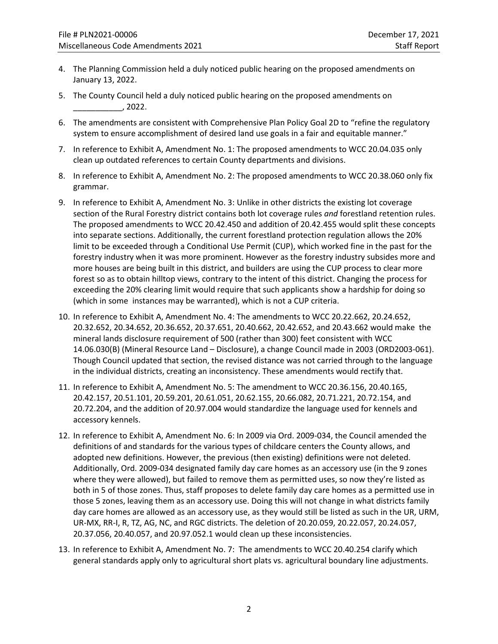- 4. The Planning Commission held a duly noticed public hearing on the proposed amendments on January 13, 2022.
- 5. The County Council held a duly noticed public hearing on the proposed amendments on \_\_\_\_\_\_\_\_\_\_\_, 2022.
- 6. The amendments are consistent with Comprehensive Plan Policy Goal 2D to "refine the regulatory system to ensure accomplishment of desired land use goals in a fair and equitable manner."
- 7. In reference to Exhibit A, Amendment No. 1: The proposed amendments to WCC 20.04.035 only clean up outdated references to certain County departments and divisions.
- 8. In reference to Exhibit A, Amendment No. 2: The proposed amendments to WCC 20.38.060 only fix grammar.
- 9. In reference to Exhibit A, Amendment No. 3: Unlike in other districts the existing lot coverage section of the Rural Forestry district contains both lot coverage rules *and* forestland retention rules. The proposed amendments to WCC 20.42.450 and addition of 20.42.455 would split these concepts into separate sections. Additionally, the current forestland protection regulation allows the 20% limit to be exceeded through a Conditional Use Permit (CUP), which worked fine in the past for the forestry industry when it was more prominent. However as the forestry industry subsides more and more houses are being built in this district, and builders are using the CUP process to clear more forest so as to obtain hilltop views, contrary to the intent of this district. Changing the process for exceeding the 20% clearing limit would require that such applicants show a hardship for doing so (which in some instances may be warranted), which is not a CUP criteria.
- 10. In reference to Exhibit A, Amendment No. 4: The amendments to WCC 20.22.662, 20.24.652, 20.32.652, 20.34.652, 20.36.652, 20.37.651, 20.40.662, 20.42.652, and 20.43.662 would make the mineral lands disclosure requirement of 500 (rather than 300) feet consistent with WCC 14.06.030(B) (Mineral Resource Land – Disclosure), a change Council made in 2003 (ORD2003-061). Though Council updated that section, the revised distance was not carried through to the language in the individual districts, creating an inconsistency. These amendments would rectify that.
- 11. In reference to Exhibit A, Amendment No. 5: The amendment to WCC 20.36.156, 20.40.165, 20.42.157, 20.51.101, 20.59.201, 20.61.051, 20.62.155, 20.66.082, 20.71.221, 20.72.154, and 20.72.204, and the addition of 20.97.004 would standardize the language used for kennels and accessory kennels.
- 12. In reference to Exhibit A, Amendment No. 6: In 2009 via Ord. 2009-034, the Council amended the definitions of and standards for the various types of childcare centers the County allows, and adopted new definitions. However, the previous (then existing) definitions were not deleted. Additionally, Ord. 2009-034 designated family day care homes as an accessory use (in the 9 zones where they were allowed), but failed to remove them as permitted uses, so now they're listed as both in 5 of those zones. Thus, staff proposes to delete family day care homes as a permitted use in those 5 zones, leaving them as an accessory use. Doing this will not change in what districts family day care homes are allowed as an accessory use, as they would still be listed as such in the UR, URM, UR-MX, RR-I, R, TZ, AG, NC, and RGC districts. The deletion of 20.20.059, 20.22.057, 20.24.057, 20.37.056, 20.40.057, and 20.97.052.1 would clean up these inconsistencies.
- 13. In reference to Exhibit A, Amendment No. 7: The amendments to WCC 20.40.254 clarify which general standards apply only to agricultural short plats vs. agricultural boundary line adjustments.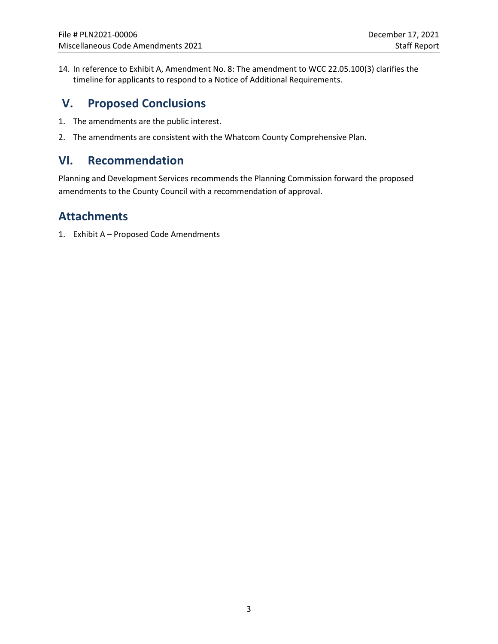14. In reference to Exhibit A, Amendment No. 8: The amendment to WCC 22.05.100(3) clarifies the timeline for applicants to respond to a Notice of Additional Requirements.

# **V. Proposed Conclusions**

- 1. The amendments are the public interest.
- 2. The amendments are consistent with the Whatcom County Comprehensive Plan.

# **VI. Recommendation**

Planning and Development Services recommends the Planning Commission forward the proposed amendments to the County Council with a recommendation of approval.

# **Attachments**

1. Exhibit A – Proposed Code Amendments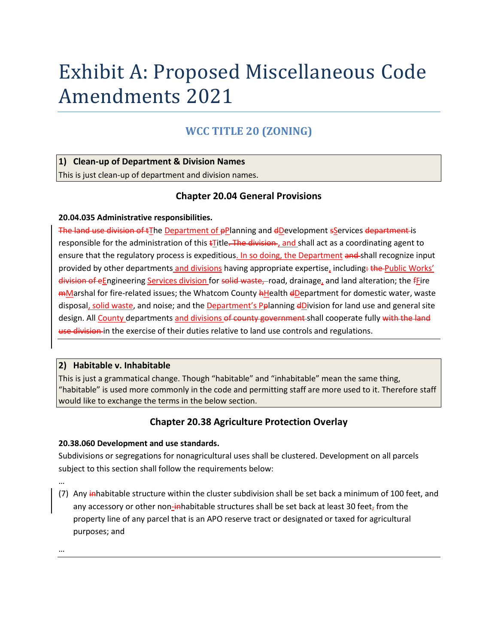# Exhibit A: Proposed Miscellaneous Code Amendments 2021

# **WCC TITLE 20 (ZONING)**

#### **1) Clean-up of Department & Division Names**

This is just clean-up of department and division names.

# **Chapter 20.04 General Provisions**

#### **20.04.035 Administrative responsibilities.**

The land use division of tThe Department of pPlanning and dDevelopment sServices department is responsible for the administration of this  $\overline{t}$  Title. The division, and shall act as a coordinating agent to ensure that the regulatory process is expeditious. In so doing, the Department and shall recognize input provided by other departments and divisions having appropriate expertise, including: the Public Works' division of eEngineering Services division for solid waste, road, drainage, and land alteration; the *fEire* mMarshal for fire-related issues; the Whatcom County **hHealth dDepartment for domestic water**, waste disposal, solid waste, and noise; and the Department's Pplanning dDivision for land use and general site design. All County departments and divisions of county government-shall cooperate fully with the land use division in the exercise of their duties relative to land use controls and regulations.

#### **2) Habitable v. Inhabitable**

This is just a grammatical change. Though "habitable" and "inhabitable" mean the same thing, "habitable" is used more commonly in the code and permitting staff are more used to it. Therefore staff would like to exchange the terms in the below section.

# **Chapter 20.38 Agriculture Protection Overlay**

#### **20.38.060 Development and use standards.**

Subdivisions or segregations for nonagricultural uses shall be clustered. Development on all parcels subject to this section shall follow the requirements below:

(7) Any inhabitable structure within the cluster subdivision shall be set back a minimum of 100 feet, and any accessory or other non-inhabitable structures shall be set back at least 30 feet, from the property line of any parcel that is an APO reserve tract or designated or taxed for agricultural purposes; and

…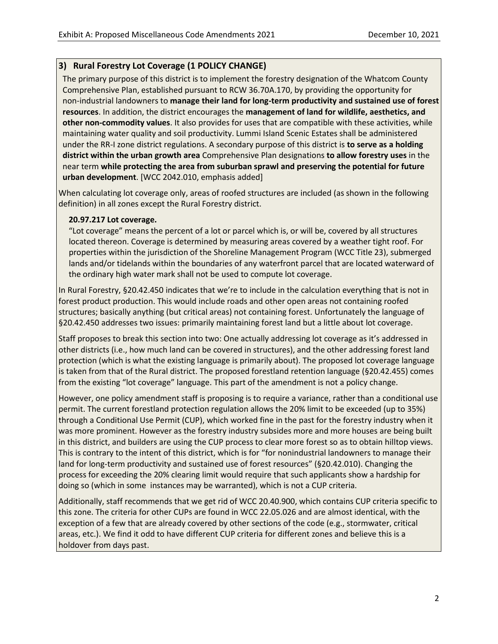# **3) Rural Forestry Lot Coverage (1 POLICY CHANGE)**

 The primary purpose of this district is to implement the forestry designation of the Whatcom County Comprehensive Plan, established pursuant to RCW 36.70A.170, by providing the opportunity for non-industrial landowners to **manage their land for long-term productivity and sustained use of forest resources**. In addition, the district encourages the **management of land for wildlife, aesthetics, and other non-commodity values**. It also provides for uses that are compatible with these activities, while maintaining water quality and soil productivity. Lummi Island Scenic Estates shall be administered under the RR-I zone district regulations. A secondary purpose of this district is **to serve as a holding district within the urban growth area** Comprehensive Plan designations **to allow forestry uses** in the near term **while protecting the area from suburban sprawl and preserving the potential for future urban development**. [WCC 2042.010, emphasis added]

When calculating lot coverage only, areas of roofed structures are included (as shown in the following definition) in all zones except the Rural Forestry district.

#### **20.97.217 Lot coverage.**

 "Lot coverage" means the percent of a lot or parcel which is, or will be, covered by all structures located thereon. Coverage is determined by measuring areas covered by a weather tight roof. For properties within the jurisdiction of the Shoreline Management Program (WCC Title 23), submerged lands and/or tidelands within the boundaries of any waterfront parcel that are located waterward of the ordinary high water mark shall not be used to compute lot coverage.

In Rural Forestry, §20.42.450 indicates that we're to include in the calculation everything that is not in forest product production. This would include roads and other open areas not containing roofed structures; basically anything (but critical areas) not containing forest. Unfortunately the language of §20.42.450 addresses two issues: primarily maintaining forest land but a little about lot coverage.

Staff proposes to break this section into two: One actually addressing lot coverage as it's addressed in other districts (i.e., how much land can be covered in structures), and the other addressing forest land protection (which is what the existing language is primarily about). The proposed lot coverage language is taken from that of the Rural district. The proposed forestland retention language (§20.42.455) comes from the existing "lot coverage" language. This part of the amendment is not a policy change.

However, one policy amendment staff is proposing is to require a variance, rather than a conditional use permit. The current forestland protection regulation allows the 20% limit to be exceeded (up to 35%) through a Conditional Use Permit (CUP), which worked fine in the past for the forestry industry when it was more prominent. However as the forestry industry subsides more and more houses are being built in this district, and builders are using the CUP process to clear more forest so as to obtain hilltop views. This is contrary to the intent of this district, which is for "for nonindustrial landowners to manage their land for long-term productivity and sustained use of forest resources" (§20.42.010). Changing the process for exceeding the 20% clearing limit would require that such applicants show a hardship for doing so (which in some instances may be warranted), which is not a CUP criteria.

Additionally, staff recommends that we get rid of WCC 20.40.900, which contains CUP criteria specific to this zone. The criteria for other CUPs are found in WCC 22.05.026 and are almost identical, with the exception of a few that are already covered by other sections of the code (e.g., stormwater, critical areas, etc.). We find it odd to have different CUP criteria for different zones and believe this is a holdover from days past.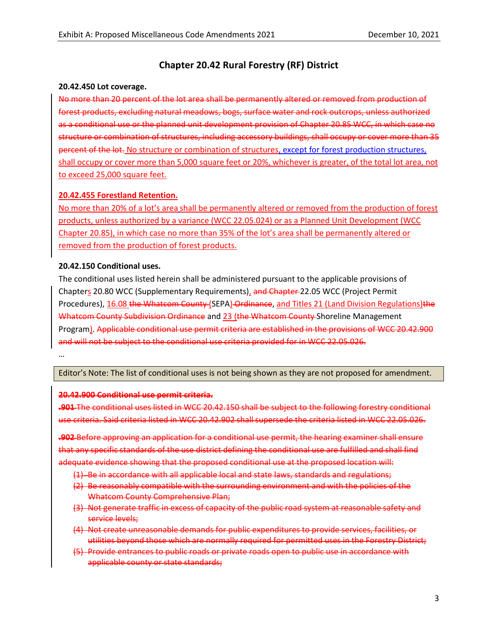# **Chapter 20.42 Rural Forestry (RF) District**

#### **20.42.450 Lot coverage.**

No more than 20 percent of the lot area shall be permanently altered or removed from production of forest products, excluding natural meadows, bogs, surface water and rock outcrops, unless authorized as a conditional use or the planned unit development provision of Chapter 20.85 WCC, in which case no structure or combination of structures, including accessory buildings, shall occupy or cover more than 35 percent of the lot. No structure or combination of structures, except for forest production structures, shall occupy or cover more than 5,000 square feet or 20%, whichever is greater, of the total lot area, not to exceed 25,000 square feet.

#### **20.42.455 Forestland Retention.**

No more than 20% of a lot's area shall be permanently altered or removed from the production of forest products, unless authorized by a variance (WCC 22.05.024) or as a Planned Unit Development (WCC Chapter 20.85), in which case no more than 35% of the lot's area shall be permanently altered or removed from the production of forest products.

#### **20.42.150 Conditional uses.**

The conditional uses listed herein shall be administered pursuant to the applicable provisions of Chapters 20.80 WCC (Supplementary Requirements), and Chapter-22.05 WCC (Project Permit Procedures), 16.08 the Whatcom County (SEPA) Ordinance, and Titles 21 (Land Division Regulations) the Whatcom County Subdivision Ordinance and 23 (the Whatcom County Shoreline Management Program). Applicable conditional use permit criteria are established in the provisions of WCC 20.42.900 and will not be subject to the conditional use criteria provided for in WCC 22.05.026.

…

Editor's Note: The list of conditional uses is not being shown as they are not proposed for amendment.

#### **20.42.900 Conditional use permit criteria.**

**.901** The conditional uses listed in WCC 20.42.150 shall be subject to the following forestry conditional use criteria. Said criteria listed in WCC 20.42.902 shall supersede the criteria listed in WCC 22.05.026.

**.902** Before approving an application for a conditional use permit, the hearing examiner shall ensure that any specific standards of the use district defining the conditional use are fulfilled and shall find adequate evidence showing that the proposed conditional use at the proposed location will:

- (1) Be in accordance with all applicable local and state laws, standards and regulations;
- (2) Be reasonably compatible with the surrounding environment and with the policies of the Whatcom County Comprehensive Plan;
- (3) Not generate traffic in excess of capacity of the public road system at reasonable safety and service levels;
- (4) Not create unreasonable demands for public expenditures to provide services, facilities, or utilities beyond those which are normally required for permitted uses in the Forestry District;
- (5) Provide entrances to public roads or private roads open to public use in accordance with applicable county or state standards;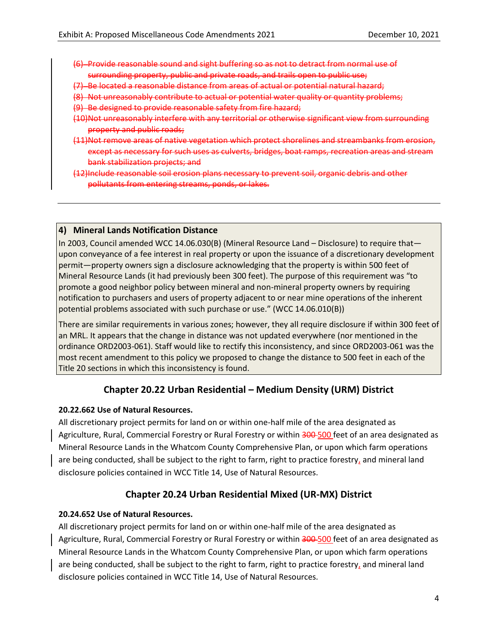- (6) Provide reasonable sound and sight buffering so as not to detract from normal use of surrounding property, public and private roads, and trails open to public use;
- (7) Be located a reasonable distance from areas of actual or potential natural hazard;
- (8) Not unreasonably contribute to actual or potential water quality or quantity problems;
- (9) Be designed to provide reasonable safety from fire hazard;
- (10)Not unreasonably interfere with any territorial or otherwise significant view from surrounding property and public roads;
- (11)Not remove areas of native vegetation which protect shorelines and streambanks from erosion, except as necessary for such uses as culverts, bridges, boat ramps, recreation areas and stream bank stabilization projects; and
- (12)Include reasonable soil erosion plans necessary to prevent soil, organic debris and other pollutants from entering streams, ponds, or lakes.

#### **4) Mineral Lands Notification Distance**

In 2003, Council amended WCC 14.06.030(B) (Mineral Resource Land – Disclosure) to require that upon conveyance of a fee interest in real property or upon the issuance of a discretionary development permit—property owners sign a disclosure acknowledging that the property is within 500 feet of Mineral Resource Lands (it had previously been 300 feet). The purpose of this requirement was "to promote a good neighbor policy between mineral and non-mineral property owners by requiring notification to purchasers and users of property adjacent to or near mine operations of the inherent potential problems associated with such purchase or use." (WCC 14.06.010(B))

There are similar requirements in various zones; however, they all require disclosure if within 300 feet of an MRL. It appears that the change in distance was not updated everywhere (nor mentioned in the ordinance ORD2003-061). Staff would like to rectify this inconsistency, and since ORD2003-061 was the most recent amendment to this policy we proposed to change the distance to 500 feet in each of the Title 20 sections in which this inconsistency is found.

# **Chapter 20.22 Urban Residential – Medium Density (URM) District**

#### **20.22.662 Use of Natural Resources.**

All discretionary project permits for land on or within one-half mile of the area designated as Agriculture, Rural, Commercial Forestry or Rural Forestry or within 300-500 feet of an area designated as Mineral Resource Lands in the Whatcom County Comprehensive Plan, or upon which farm operations are being conducted, shall be subject to the right to farm, right to practice forestry, and mineral land disclosure policies contained in WCC Title 14, Use of Natural Resources.

# **Chapter 20.24 Urban Residential Mixed (UR-MX) District**

#### **20.24.652 Use of Natural Resources.**

All discretionary project permits for land on or within one-half mile of the area designated as Agriculture, Rural, Commercial Forestry or Rural Forestry or within 300-500 feet of an area designated as Mineral Resource Lands in the Whatcom County Comprehensive Plan, or upon which farm operations are being conducted, shall be subject to the right to farm, right to practice forestry, and mineral land disclosure policies contained in WCC Title 14, Use of Natural Resources.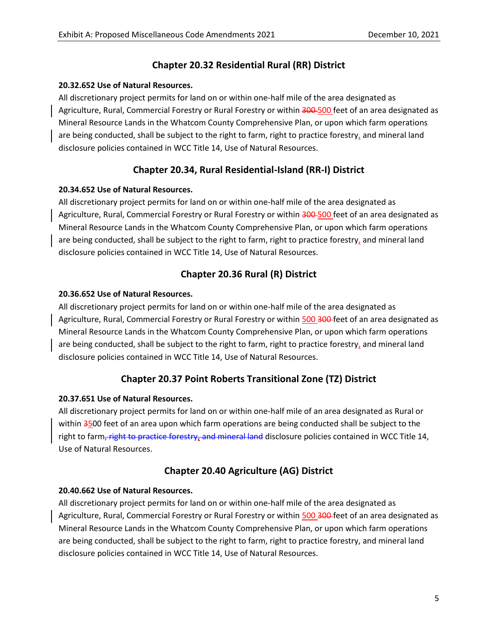# **Chapter 20.32 Residential Rural (RR) District**

## **20.32.652 Use of Natural Resources.**

All discretionary project permits for land on or within one-half mile of the area designated as Agriculture, Rural, Commercial Forestry or Rural Forestry or within 300-500 feet of an area designated as Mineral Resource Lands in the Whatcom County Comprehensive Plan, or upon which farm operations are being conducted, shall be subject to the right to farm, right to practice forestry, and mineral land disclosure policies contained in WCC Title 14, Use of Natural Resources.

# **Chapter 20.34, Rural Residential-Island (RR-I) District**

## **20.34.652 Use of Natural Resources.**

All discretionary project permits for land on or within one-half mile of the area designated as Agriculture, Rural, Commercial Forestry or Rural Forestry or within 300-500 feet of an area designated as Mineral Resource Lands in the Whatcom County Comprehensive Plan, or upon which farm operations are being conducted, shall be subject to the right to farm, right to practice forestry, and mineral land disclosure policies contained in WCC Title 14, Use of Natural Resources.

# **Chapter 20.36 Rural (R) District**

## **20.36.652 Use of Natural Resources.**

All discretionary project permits for land on or within one-half mile of the area designated as Agriculture, Rural, Commercial Forestry or Rural Forestry or within 500 300 feet of an area designated as Mineral Resource Lands in the Whatcom County Comprehensive Plan, or upon which farm operations are being conducted, shall be subject to the right to farm, right to practice forestry, and mineral land disclosure policies contained in WCC Title 14, Use of Natural Resources.

# **Chapter 20.37 Point Roberts Transitional Zone (TZ) District**

# **20.37.651 Use of Natural Resources.**

All discretionary project permits for land on or within one-half mile of an area designated as Rural or within 3500 feet of an area upon which farm operations are being conducted shall be subject to the right to farm, right to practice forestry, and mineral land disclosure policies contained in WCC Title 14, Use of Natural Resources.

# **Chapter 20.40 Agriculture (AG) District**

# **20.40.662 Use of Natural Resources.**

All discretionary project permits for land on or within one-half mile of the area designated as Agriculture, Rural, Commercial Forestry or Rural Forestry or within 500 300 feet of an area designated as Mineral Resource Lands in the Whatcom County Comprehensive Plan, or upon which farm operations are being conducted, shall be subject to the right to farm, right to practice forestry, and mineral land disclosure policies contained in WCC Title 14, Use of Natural Resources.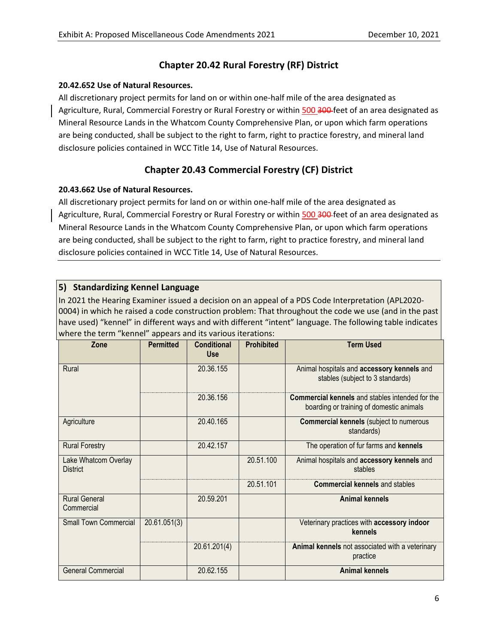# **Chapter 20.42 Rural Forestry (RF) District**

#### **20.42.652 Use of Natural Resources.**

All discretionary project permits for land on or within one-half mile of the area designated as Agriculture, Rural, Commercial Forestry or Rural Forestry or within 500 300-feet of an area designated as Mineral Resource Lands in the Whatcom County Comprehensive Plan, or upon which farm operations are being conducted, shall be subject to the right to farm, right to practice forestry, and mineral land disclosure policies contained in WCC Title 14, Use of Natural Resources.

# **Chapter 20.43 Commercial Forestry (CF) District**

#### **20.43.662 Use of Natural Resources.**

All discretionary project permits for land on or within one-half mile of the area designated as Agriculture, Rural, Commercial Forestry or Rural Forestry or within 500 300 feet of an area designated as Mineral Resource Lands in the Whatcom County Comprehensive Plan, or upon which farm operations are being conducted, shall be subject to the right to farm, right to practice forestry, and mineral land disclosure policies contained in WCC Title 14, Use of Natural Resources.

# **5) Standardizing Kennel Language**

In 2021 the Hearing Examiner issued a decision on an appeal of a PDS Code Interpretation (APL2020- 0004) in which he raised a code construction problem: That throughout the code we use (and in the past have used) "kennel" in different ways and with different "intent" language. The following table indicates where the term "kennel" appears and its various iterations:

| Zone                                    | <b>Permitted</b> | <b>Conditional</b><br><b>Use</b> | <b>Prohibited</b> | <b>Term Used</b>                                                                                   |
|-----------------------------------------|------------------|----------------------------------|-------------------|----------------------------------------------------------------------------------------------------|
|                                         |                  |                                  |                   |                                                                                                    |
| Rural                                   |                  | 20.36.155                        |                   | Animal hospitals and accessory kennels and<br>stables (subject to 3 standards)                     |
|                                         |                  | 20.36.156                        |                   | <b>Commercial kennels</b> and stables intended for the<br>boarding or training of domestic animals |
| Agriculture                             |                  | 20.40.165                        |                   | <b>Commercial kennels</b> (subject to numerous<br>standards)                                       |
| <b>Rural Forestry</b>                   |                  | 20.42.157                        |                   | The operation of fur farms and kennels                                                             |
| Lake Whatcom Overlay<br><b>District</b> |                  |                                  | 20.51.100         | Animal hospitals and accessory kennels and<br>stables                                              |
|                                         |                  |                                  | 20.51.101         | <b>Commercial kennels and stables</b>                                                              |
| <b>Rural General</b><br>Commercial      |                  | 20.59.201                        |                   | <b>Animal kennels</b>                                                                              |
| <b>Small Town Commercial</b>            | 20.61.051(3)     |                                  |                   | Veterinary practices with accessory indoor<br>kennels                                              |
|                                         |                  | 20.61.201(4)                     |                   | Animal kennels not associated with a veterinary<br>practice                                        |
| <b>General Commercial</b>               |                  | 20.62.155                        |                   | <b>Animal kennels</b>                                                                              |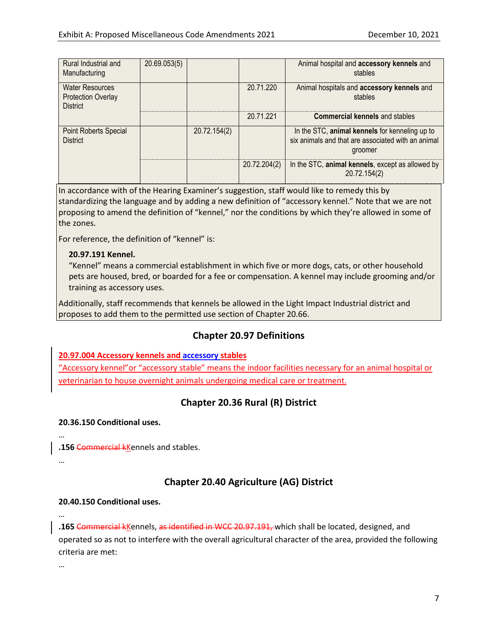| Rural Industrial and<br>Manufacturing                                  | 20.69.053(5) |              |              | Animal hospital and accessory kennels and<br>stables                                                            |
|------------------------------------------------------------------------|--------------|--------------|--------------|-----------------------------------------------------------------------------------------------------------------|
| <b>Water Resources</b><br><b>Protection Overlay</b><br><b>District</b> |              |              | 20.71.220    | Animal hospitals and accessory kennels and<br>stables                                                           |
|                                                                        |              |              | 20.71.221    | <b>Commercial kennels and stables</b>                                                                           |
| <b>Point Roberts Special</b><br><b>District</b>                        |              | 20.72.154(2) |              | In the STC, animal kennels for kenneling up to<br>six animals and that are associated with an animal<br>groomer |
|                                                                        |              |              | 20.72.204(2) | In the STC, animal kennels, except as allowed by<br>20.72.154(2)                                                |

In accordance with of the Hearing Examiner's suggestion, staff would like to remedy this by standardizing the language and by adding a new definition of "accessory kennel." Note that we are not proposing to amend the definition of "kennel," nor the conditions by which they're allowed in some of the zones.

For reference, the definition of "kennel" is:

#### **20.97.191 Kennel.**

 "Kennel" means a commercial establishment in which five or more dogs, cats, or other household pets are housed, bred, or boarded for a fee or compensation. A kennel may include grooming and/or training as accessory uses.

Additionally, staff recommends that kennels be allowed in the Light Impact Industrial district and proposes to add them to the permitted use section of Chapter 20.66.

# **Chapter 20.97 Definitions**

#### **20.97.004 Accessory kennels and accessory stables**

"Accessory kennel"or "accessory stable" means the indoor facilities necessary for an animal hospital or veterinarian to house overnight animals undergoing medical care or treatment.

# **Chapter 20.36 Rural (R) District**

#### **20.36.150 Conditional uses.**

**.156** Commercial kKennels and stables.

# **Chapter 20.40 Agriculture (AG) District**

#### **20.40.150 Conditional uses.**

…

…

…

**.165** Commercial kKennels, as identified in WCC 20.97.191, which shall be located, designed, and operated so as not to interfere with the overall agricultural character of the area, provided the following criteria are met: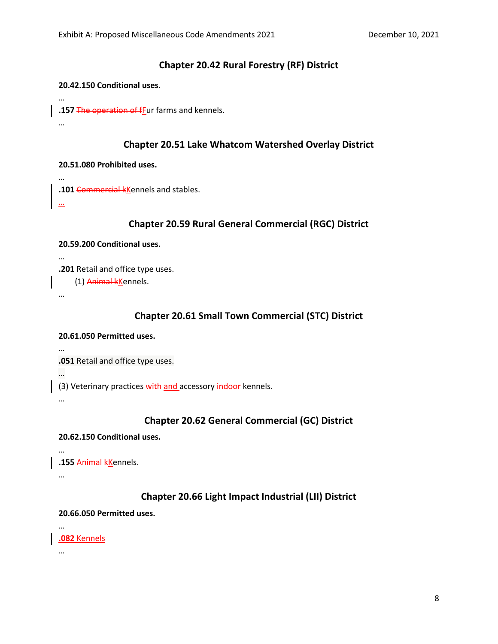## **Chapter 20.42 Rural Forestry (RF) District**

#### **20.42.150 Conditional uses.**

**.157** The operation of fFur farms and kennels.

…

…

#### **Chapter 20.51 Lake Whatcom Watershed Overlay District**

#### **20.51.080 Prohibited uses.**

**.101** Commercial kKennels and stables.

…

…

## **Chapter 20.59 Rural General Commercial (RGC) District**

#### **20.59.200 Conditional uses.**

**.201** Retail and office type uses.

(1) Animal kKennels.

…

…

## **Chapter 20.61 Small Town Commercial (STC) District**

#### **20.61.050 Permitted uses.**

…

**.051** Retail and office type uses.

…

(3) Veterinary practices with and accessory indoor kennels.

…

# **Chapter 20.62 General Commercial (GC) District**

#### **20.62.150 Conditional uses.**

…

**.155** Animal kKennels.

…

#### **Chapter 20.66 Light Impact Industrial (LII) District**

#### **20.66.050 Permitted uses.**

**.082** Kennels

…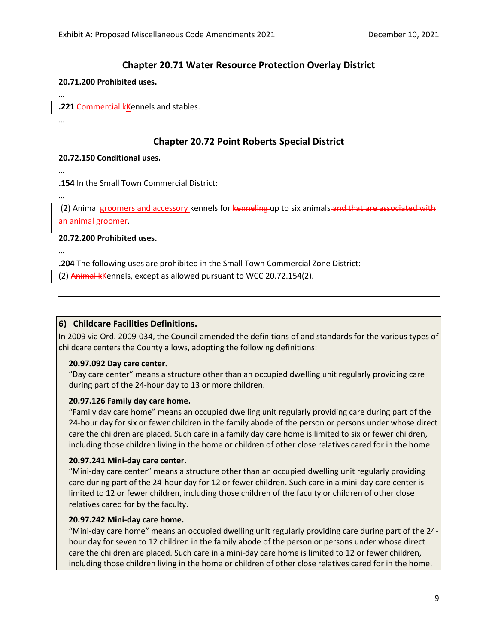## **Chapter 20.71 Water Resource Protection Overlay District**

#### **20.71.200 Prohibited uses.**

**.221** Commercial kKennels and stables.

…

…

## **Chapter 20.72 Point Roberts Special District**

#### **20.72.150 Conditional uses.**

**.154** In the Small Town Commercial District:

…

…

…

(2) Animal groomers and accessory kennels for kenneling up to six animals and that are associated with an animal groomer.

#### **20.72.200 Prohibited uses.**

**.204** The following uses are prohibited in the Small Town Commercial Zone District:

(2) Animal kKennels, except as allowed pursuant to WCC 20.72.154(2).

#### **6) Childcare Facilities Definitions.**

In 2009 via Ord. 2009-034, the Council amended the definitions of and standards for the various types of childcare centers the County allows, adopting the following definitions:

#### **20.97.092 Day care center.**

 "Day care center" means a structure other than an occupied dwelling unit regularly providing care during part of the 24-hour day to 13 or more children.

#### **20.97.126 Family day care home.**

 "Family day care home" means an occupied dwelling unit regularly providing care during part of the 24-hour day for six or fewer children in the family abode of the person or persons under whose direct care the children are placed. Such care in a family day care home is limited to six or fewer children, including those children living in the home or children of other close relatives cared for in the home.

#### **20.97.241 Mini-day care center.**

 "Mini-day care center" means a structure other than an occupied dwelling unit regularly providing care during part of the 24-hour day for 12 or fewer children. Such care in a mini-day care center is limited to 12 or fewer children, including those children of the faculty or children of other close relatives cared for by the faculty.

#### **20.97.242 Mini-day care home.**

 "Mini-day care home" means an occupied dwelling unit regularly providing care during part of the 24 hour day for seven to 12 children in the family abode of the person or persons under whose direct care the children are placed. Such care in a mini-day care home is limited to 12 or fewer children, including those children living in the home or children of other close relatives cared for in the home.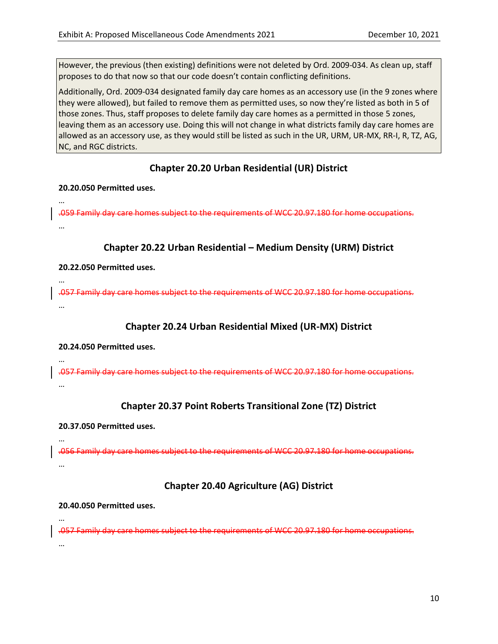However, the previous (then existing) definitions were not deleted by Ord. 2009-034. As clean up, staff proposes to do that now so that our code doesn't contain conflicting definitions.

Additionally, Ord. 2009-034 designated family day care homes as an accessory use (in the 9 zones where they were allowed), but failed to remove them as permitted uses, so now they're listed as both in 5 of those zones. Thus, staff proposes to delete family day care homes as a permitted in those 5 zones, leaving them as an accessory use. Doing this will not change in what districts family day care homes are allowed as an accessory use, as they would still be listed as such in the UR, URM, UR-MX, RR-I, R, TZ, AG, NC, and RGC districts.

# **Chapter 20.20 Urban Residential (UR) District**

**20.20.050 Permitted uses.**

…

…

…

…

…

.059 Family day care homes subject to the requirements of WCC 20.97.180 for home occupations. …

# **Chapter 20.22 Urban Residential – Medium Density (URM) District**

#### **20.22.050 Permitted uses.**

.057 Family day care homes subject to the requirements of WCC 20.97.180 for home occupations. …

# **Chapter 20.24 Urban Residential Mixed (UR-MX) District**

#### **20.24.050 Permitted uses.**

.057 Family day care homes subject to the requirements of WCC 20.97.180 for home occupations. …

# **Chapter 20.37 Point Roberts Transitional Zone (TZ) District**

#### **20.37.050 Permitted uses.**

.056 Family day care homes subject to the requirements of WCC 20.97.180 for home occupations. …

# **Chapter 20.40 Agriculture (AG) District**

#### **20.40.050 Permitted uses.**

.057 Family day care homes subject to the requirements of WCC 20.97.180 for home occupations. …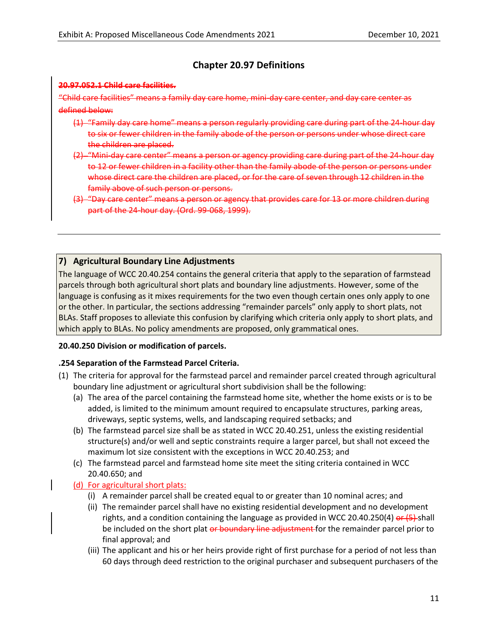# **Chapter 20.97 Definitions**

#### **20.97.052.1 Child care facilities.**

"Child care facilities" means a family day care home, mini-day care center, and day care center as defined below:

- (1) "Family day care home" means a person regularly providing care during part of the 24-hour day to six or fewer children in the family abode of the person or persons under whose direct care the children are placed.
- (2) "Mini-day care center" means a person or agency providing care during part of the 24-hour day to 12 or fewer children in a facility other than the family abode of the person or persons under whose direct care the children are placed, or for the care of seven through 12 children in the family above of such person or persons.
- (3) "Day care center" means a person or agency that provides care for 13 or more children during part of the 24-hour day. (Ord. 99-068, 1999).

## **7) Agricultural Boundary Line Adjustments**

The language of WCC 20.40.254 contains the general criteria that apply to the separation of farmstead parcels through both agricultural short plats and boundary line adjustments. However, some of the language is confusing as it mixes requirements for the two even though certain ones only apply to one or the other. In particular, the sections addressing "remainder parcels" only apply to short plats, not BLAs. Staff proposes to alleviate this confusion by clarifying which criteria only apply to short plats, and which apply to BLAs. No policy amendments are proposed, only grammatical ones.

#### **20.40.250 Division or modification of parcels.**

#### **.254 Separation of the Farmstead Parcel Criteria.**

- (1) The criteria for approval for the farmstead parcel and remainder parcel created through agricultural boundary line adjustment or agricultural short subdivision shall be the following:
	- (a) The area of the parcel containing the farmstead home site, whether the home exists or is to be added, is limited to the minimum amount required to encapsulate structures, parking areas, driveways, septic systems, wells, and landscaping required setbacks; and
	- (b) The farmstead parcel size shall be as stated in WCC 20.40.251, unless the existing residential structure(s) and/or well and septic constraints require a larger parcel, but shall not exceed the maximum lot size consistent with the exceptions in WCC 20.40.253; and
	- (c) The farmstead parcel and farmstead home site meet the siting criteria contained in WCC 20.40.650; and

#### (d) For agricultural short plats:

- (i) A remainder parcel shall be created equal to or greater than 10 nominal acres; and
- (ii) The remainder parcel shall have no existing residential development and no development rights, and a condition containing the language as provided in WCC 20.40.250(4)  $er$  (5)-shall be included on the short plat or boundary line adjustment for the remainder parcel prior to final approval; and
- (iii) The applicant and his or her heirs provide right of first purchase for a period of not less than 60 days through deed restriction to the original purchaser and subsequent purchasers of the